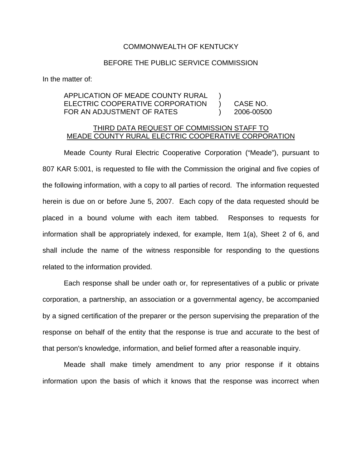## COMMONWEALTH OF KENTUCKY

## BEFORE THE PUBLIC SERVICE COMMISSION

In the matter of:

## APPLICATION OF MEADE COUNTY RURAL ELECTRIC COOPERATIVE CORPORATION ) CASE NO. FOR AN ADJUSTMENT OF RATES (2006-00500

## THIRD DATA REQUEST OF COMMISSION STAFF TO MEADE COUNTY RURAL ELECTRIC COOPERATIVE CORPORATION

Meade County Rural Electric Cooperative Corporation ("Meade"), pursuant to 807 KAR 5:001, is requested to file with the Commission the original and five copies of the following information, with a copy to all parties of record. The information requested herein is due on or before June 5, 2007. Each copy of the data requested should be placed in a bound volume with each item tabbed. Responses to requests for information shall be appropriately indexed, for example, Item 1(a), Sheet 2 of 6, and shall include the name of the witness responsible for responding to the questions related to the information provided.

Each response shall be under oath or, for representatives of a public or private corporation, a partnership, an association or a governmental agency, be accompanied by a signed certification of the preparer or the person supervising the preparation of the response on behalf of the entity that the response is true and accurate to the best of that person's knowledge, information, and belief formed after a reasonable inquiry.

Meade shall make timely amendment to any prior response if it obtains information upon the basis of which it knows that the response was incorrect when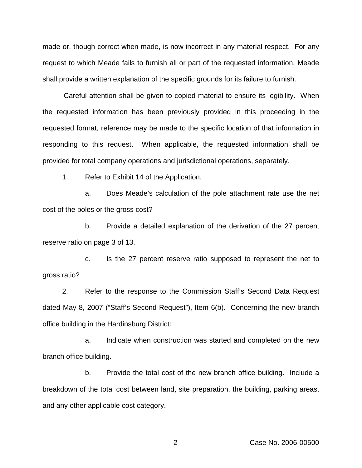made or, though correct when made, is now incorrect in any material respect. For any request to which Meade fails to furnish all or part of the requested information, Meade shall provide a written explanation of the specific grounds for its failure to furnish.

Careful attention shall be given to copied material to ensure its legibility. When the requested information has been previously provided in this proceeding in the requested format, reference may be made to the specific location of that information in responding to this request. When applicable, the requested information shall be provided for total company operations and jurisdictional operations, separately.

1. Refer to Exhibit 14 of the Application.

a. Does Meade's calculation of the pole attachment rate use the net cost of the poles or the gross cost?

b. Provide a detailed explanation of the derivation of the 27 percent reserve ratio on page 3 of 13.

c. Is the 27 percent reserve ratio supposed to represent the net to gross ratio?

2. Refer to the response to the Commission Staff's Second Data Request dated May 8, 2007 ("Staff's Second Request"), Item 6(b). Concerning the new branch office building in the Hardinsburg District:

a. Indicate when construction was started and completed on the new branch office building.

b. Provide the total cost of the new branch office building. Include a breakdown of the total cost between land, site preparation, the building, parking areas, and any other applicable cost category.

-2- Case No. 2006-00500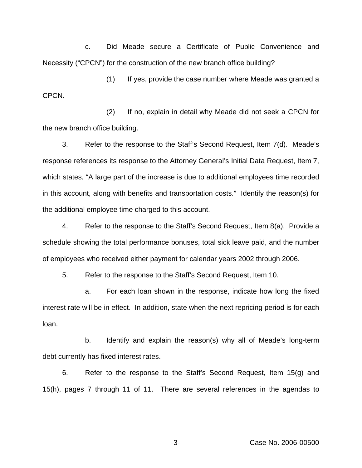c. Did Meade secure a Certificate of Public Convenience and Necessity ("CPCN") for the construction of the new branch office building?

(1) If yes, provide the case number where Meade was granted a CPCN.

(2) If no, explain in detail why Meade did not seek a CPCN for the new branch office building.

3. Refer to the response to the Staff's Second Request, Item 7(d). Meade's response references its response to the Attorney General's Initial Data Request, Item 7, which states, "A large part of the increase is due to additional employees time recorded in this account, along with benefits and transportation costs." Identify the reason(s) for the additional employee time charged to this account.

4. Refer to the response to the Staff's Second Request, Item 8(a). Provide a schedule showing the total performance bonuses, total sick leave paid, and the number of employees who received either payment for calendar years 2002 through 2006.

5. Refer to the response to the Staff's Second Request, Item 10.

a. For each loan shown in the response, indicate how long the fixed interest rate will be in effect. In addition, state when the next repricing period is for each loan.

b. Identify and explain the reason(s) why all of Meade's long-term debt currently has fixed interest rates.

6. Refer to the response to the Staff's Second Request, Item 15(g) and 15(h), pages 7 through 11 of 11. There are several references in the agendas to

-3- Case No. 2006-00500